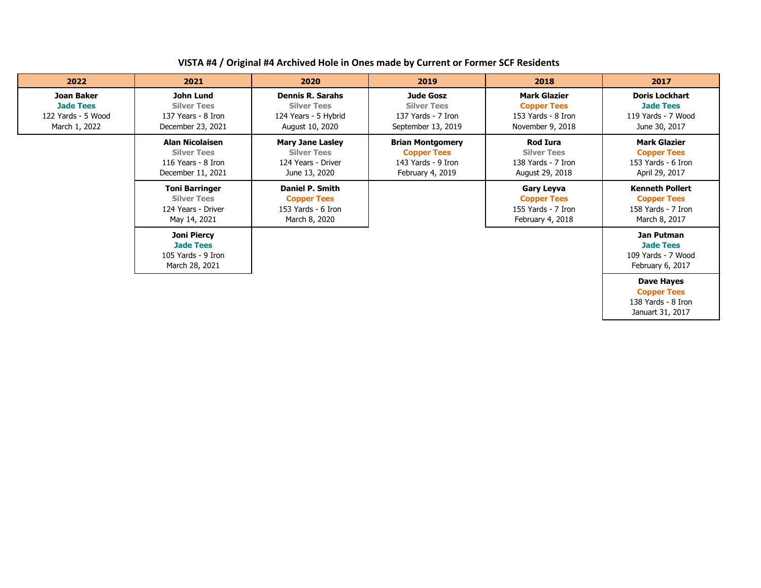| VISTA #4 / Original #4 Archived Hole in Ones made by Current or Former SCF Residents |
|--------------------------------------------------------------------------------------|
|--------------------------------------------------------------------------------------|

| 2022                                                                         | 2021                                                                                    | 2020                                                                                     | 2019                                                                                    | 2018                                                                                | 2017                                                                                |
|------------------------------------------------------------------------------|-----------------------------------------------------------------------------------------|------------------------------------------------------------------------------------------|-----------------------------------------------------------------------------------------|-------------------------------------------------------------------------------------|-------------------------------------------------------------------------------------|
| <b>Joan Baker</b><br><b>Jade Tees</b><br>122 Yards - 5 Wood<br>March 1, 2022 | John Lund<br><b>Silver Tees</b><br>137 Years - 8 Iron<br>December 23, 2021              | <b>Dennis R. Sarahs</b><br><b>Silver Tees</b><br>124 Years - 5 Hybrid<br>August 10, 2020 | <b>Jude Gosz</b><br><b>Silver Tees</b><br>137 Yards - 7 Iron<br>September 13, 2019      | <b>Mark Glazier</b><br><b>Copper Tees</b><br>153 Yards - 8 Iron<br>November 9, 2018 | <b>Doris Lockhart</b><br><b>Jade Tees</b><br>119 Yards - 7 Wood<br>June 30, 2017    |
|                                                                              | <b>Alan Nicolaisen</b><br><b>Silver Tees</b><br>116 Years - 8 Iron<br>December 11, 2021 | <b>Mary Jane Lasley</b><br><b>Silver Tees</b><br>124 Years - Driver<br>June 13, 2020     | <b>Brian Montgomery</b><br><b>Copper Tees</b><br>143 Yards - 9 Iron<br>February 4, 2019 | Rod Iura<br><b>Silver Tees</b><br>138 Yards - 7 Iron<br>August 29, 2018             | <b>Mark Glazier</b><br><b>Copper Tees</b><br>153 Yards - 6 Iron<br>April 29, 2017   |
|                                                                              | <b>Toni Barringer</b><br><b>Silver Tees</b><br>124 Years - Driver<br>May 14, 2021       | <b>Daniel P. Smith</b><br><b>Copper Tees</b><br>153 Yards - 6 Iron<br>March 8, 2020      |                                                                                         | <b>Gary Leyva</b><br><b>Copper Tees</b><br>155 Yards - 7 Iron<br>February 4, 2018   | <b>Kenneth Pollert</b><br><b>Copper Tees</b><br>158 Yards - 7 Iron<br>March 8, 2017 |
|                                                                              | Joni Piercy<br><b>Jade Tees</b><br>105 Yards - 9 Iron<br>March 28, 2021                 |                                                                                          |                                                                                         |                                                                                     | Jan Putman<br><b>Jade Tees</b><br>109 Yards - 7 Wood<br>February 6, 2017            |
|                                                                              |                                                                                         |                                                                                          |                                                                                         |                                                                                     | <b>Dave Hayes</b><br><b>Copper Tees</b><br>138 Yards - 8 Iron<br>Januart 31, 2017   |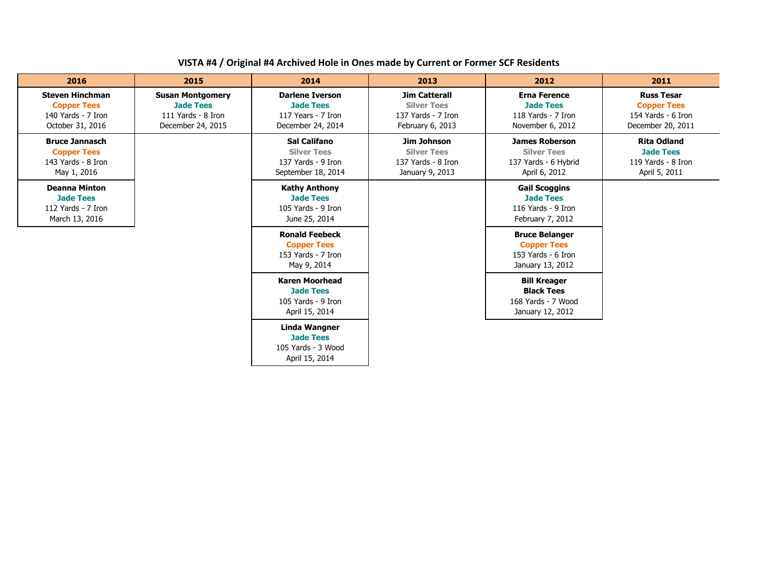## **VISTA #4 / Original #4 Archived Hole in Ones made by Current or Former SCF Residents**

| 2016                                                                                   | 2015                                                                                   | 2014                                                                                  | 2013                                                                                 | 2012                                                                                  | 2011                                                                               |
|----------------------------------------------------------------------------------------|----------------------------------------------------------------------------------------|---------------------------------------------------------------------------------------|--------------------------------------------------------------------------------------|---------------------------------------------------------------------------------------|------------------------------------------------------------------------------------|
| <b>Steven Hinchman</b><br><b>Copper Tees</b><br>140 Yards - 7 Iron<br>October 31, 2016 | <b>Susan Montgomery</b><br><b>Jade Tees</b><br>111 Yards - 8 Iron<br>December 24, 2015 | <b>Darlene Iverson</b><br><b>Jade Tees</b><br>117 Years - 7 Iron<br>December 24, 2014 | <b>Jim Catterall</b><br><b>Silver Tees</b><br>137 Yards - 7 Iron<br>February 6, 2013 | <b>Erna Ference</b><br><b>Jade Tees</b><br>118 Yards - 7 Iron<br>November 6, 2012     | <b>Russ Tesar</b><br><b>Copper Tees</b><br>154 Yards - 6 Iron<br>December 20, 2011 |
| <b>Bruce Jannasch</b><br><b>Copper Tees</b><br>143 Yards - 8 Iron<br>May 1, 2016       |                                                                                        | <b>Sal Califano</b><br><b>Silver Tees</b><br>137 Yards - 9 Iron<br>September 18, 2014 | Jim Johnson<br><b>Silver Tees</b><br>137 Yards - 8 Iron<br>January 9, 2013           | <b>James Roberson</b><br><b>Silver Tees</b><br>137 Yards - 6 Hybrid<br>April 6, 2012  | <b>Rita Odland</b><br><b>Jade Tees</b><br>119 Yards - 8 Iron<br>April 5, 2011      |
| <b>Deanna Minton</b><br><b>Jade Tees</b><br>112 Yards - 7 Iron<br>March 13, 2016       |                                                                                        | <b>Kathy Anthony</b><br><b>Jade Tees</b><br>105 Yards - 9 Iron<br>June 25, 2014       |                                                                                      | <b>Gail Scoggins</b><br><b>Jade Tees</b><br>116 Yards - 9 Iron<br>February 7, 2012    |                                                                                    |
|                                                                                        |                                                                                        | <b>Ronald Feebeck</b><br><b>Copper Tees</b><br>153 Yards - 7 Iron<br>May 9, 2014      |                                                                                      | <b>Bruce Belanger</b><br><b>Copper Tees</b><br>153 Yards - 6 Iron<br>January 13, 2012 |                                                                                    |
|                                                                                        |                                                                                        | <b>Karen Moorhead</b><br><b>Jade Tees</b><br>105 Yards - 9 Iron<br>April 15, 2014     |                                                                                      | <b>Bill Kreager</b><br><b>Black Tees</b><br>168 Yards - 7 Wood<br>January 12, 2012    |                                                                                    |
|                                                                                        |                                                                                        | <b>Linda Wangner</b><br><b>Jade Tees</b><br>105 Yards - 3 Wood<br>April 15, 2014      |                                                                                      |                                                                                       |                                                                                    |